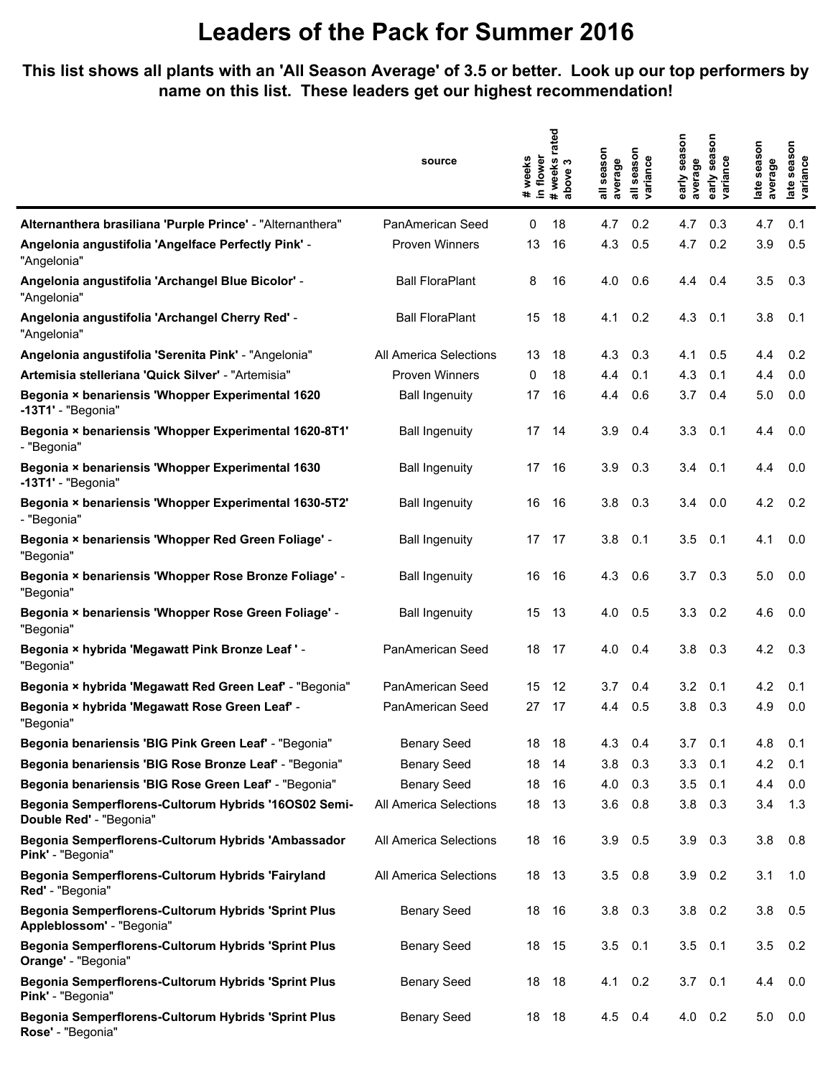#### **This list shows all plants with an 'All Season Average' of 3.5 or better. Look up our top performers by name on this list. These leaders get our highest recommendation!**

|                                                                                   | source                 | in flower<br>weeks<br>$\ddot{}$ | rated<br># weeks<br>က<br>above | season<br>average<br>듷 | season<br>variance | early season<br>average | Son<br>sea<br>variance<br>early | late season<br>average | season<br>late seas<br>variance |
|-----------------------------------------------------------------------------------|------------------------|---------------------------------|--------------------------------|------------------------|--------------------|-------------------------|---------------------------------|------------------------|---------------------------------|
| Alternanthera brasiliana 'Purple Prince' - "Alternanthera"                        | PanAmerican Seed       | 0                               | 18                             | 4.7                    | 0.2                | 4.7                     | 0.3                             | 4.7                    | 0.1                             |
| Angelonia angustifolia 'Angelface Perfectly Pink' -<br>"Angelonia"                | Proven Winners         | 13                              | 16                             | 4.3                    | 0.5                | 4.7                     | 0.2                             | 3.9                    | 0.5                             |
| Angelonia angustifolia 'Archangel Blue Bicolor' -<br>"Angelonia"                  | <b>Ball FloraPlant</b> | 8                               | 16                             | 4.0                    | 0.6                | 4.4                     | 0.4                             | 3.5                    | 0.3                             |
| Angelonia angustifolia 'Archangel Cherry Red' -<br>"Angelonia"                    | <b>Ball FloraPlant</b> | 15                              | 18                             | 4.1                    | 0.2                | 4.3                     | 0.1                             | 3.8                    | 0.1                             |
| Angelonia angustifolia 'Serenita Pink' - "Angelonia"                              | All America Selections | 13                              | 18                             | 4.3                    | 0.3                | 4.1                     | 0.5                             | 4.4                    | 0.2                             |
| Artemisia stelleriana 'Quick Silver' - "Artemisia"                                | <b>Proven Winners</b>  | 0                               | 18                             | 4.4                    | 0.1                | 4.3                     | 0.1                             | 4.4                    | 0.0                             |
| Begonia × benariensis 'Whopper Experimental 1620<br>-13T1' - "Begonia"            | <b>Ball Ingenuity</b>  | 17                              | 16                             | 4.4                    | 0.6                | 3.7                     | 0.4                             | 5.0                    | 0.0                             |
| Begonia × benariensis 'Whopper Experimental 1620-8T1'<br>- "Begonia"              | <b>Ball Ingenuity</b>  | 17                              | 14                             | 3.9                    | 0.4                | 3.3                     | 0.1                             | 4.4                    | 0.0                             |
| Begonia × benariensis 'Whopper Experimental 1630<br>-13T1' - "Begonia"            | <b>Ball Ingenuity</b>  | 17                              | 16                             | 3.9                    | 0.3                | 3.4                     | 0.1                             | 4.4                    | 0.0                             |
| Begonia × benariensis 'Whopper Experimental 1630-5T2'<br>- "Begonia"              | <b>Ball Ingenuity</b>  | 16                              | 16                             | 3.8                    | 0.3                | 3.4                     | 0.0                             | 4.2                    | 0.2                             |
| Begonia × benariensis 'Whopper Red Green Foliage' -<br>"Begonia"                  | <b>Ball Ingenuity</b>  | 17                              | 17                             | 3.8                    | 0.1                | 3.5                     | 0.1                             | 4.1                    | 0.0                             |
| Begonia × benariensis 'Whopper Rose Bronze Foliage' -<br>"Begonia"                | <b>Ball Ingenuity</b>  | 16                              | 16                             | 4.3                    | 0.6                | 3.7                     | 0.3                             | 5.0                    | 0.0                             |
| Begonia × benariensis 'Whopper Rose Green Foliage' -<br>"Begonia"                 | <b>Ball Ingenuity</b>  | 15                              | 13                             | 4.0                    | 0.5                | 3.3                     | 0.2                             | 4.6                    | 0.0                             |
| Begonia × hybrida 'Megawatt Pink Bronze Leaf ' -<br>"Begonia"                     | PanAmerican Seed       | 18                              | 17                             | 4.0                    | 0.4                | 3.8                     | 0.3                             | 4.2                    | 0.3                             |
| Begonia × hybrida 'Megawatt Red Green Leaf' - "Begonia"                           | PanAmerican Seed       | 15                              | 12                             | 3.7                    | 0.4                | 3.2                     | 0.1                             | 4.2                    | 0.1                             |
| Begonia × hybrida 'Megawatt Rose Green Leaf' -<br>"Begonia"                       | PanAmerican Seed       | 27                              | 17                             | 4.4                    | 0.5                | 3.8                     | 0.3                             | 4.9                    | 0.0                             |
| Begonia benariensis 'BIG Pink Green Leaf' - "Begonia"                             | <b>Benary Seed</b>     | 18                              | 18                             | 4.3                    | 0.4                | 3.7                     | 0.1                             | 4.8                    | 0.1                             |
| Begonia benariensis 'BIG Rose Bronze Leaf' - "Begonia"                            | <b>Benary Seed</b>     | 18                              | 14                             | 3.8                    | 0.3                | 3.3                     | 0.1                             | 4.2                    | 0.1                             |
| Begonia benariensis 'BIG Rose Green Leaf' - "Begonia"                             | <b>Benary Seed</b>     | 18                              | 16                             | 4.0                    | 0.3                | 3.5                     | 0.1                             | 4.4                    | 0.0                             |
| Begonia Semperflorens-Cultorum Hybrids '16OS02 Semi-<br>Double Red' - "Begonia"   | All America Selections | 18                              | 13                             | 3.6                    | 0.8                | 3.8                     | 0.3                             | 3.4                    | 1.3                             |
| Begonia Semperflorens-Cultorum Hybrids 'Ambassador<br>Pink' - "Begonia"           | All America Selections | 18                              | 16                             | 3.9                    | 0.5                | 3.9                     | 0.3                             | 3.8                    | 0.8                             |
| Begonia Semperflorens-Cultorum Hybrids 'Fairyland<br>Red' - "Begonia"             | All America Selections | 18                              | -13                            | 3.5                    | 0.8                | 3.9                     | 0.2                             | 3.1                    | 1.0                             |
| Begonia Semperflorens-Cultorum Hybrids 'Sprint Plus<br>Appleblossom' - "Begonia"  | <b>Benary Seed</b>     | 18                              | - 16                           | 3.8                    | 0.3                |                         | $3.8\quad 0.2$                  | 3.8                    | 0.5                             |
| Begonia Semperflorens-Cultorum Hybrids 'Sprint Plus<br><b>Orange'</b> - "Begonia" | <b>Benary Seed</b>     | 18                              | 15                             | 3.5                    | 0.1                | $3.5$ 0.1               |                                 | 3.5                    | 0.2                             |
| Begonia Semperflorens-Cultorum Hybrids 'Sprint Plus<br>Pink' - "Begonia"          | <b>Benary Seed</b>     | 18                              | 18                             | 4.1                    | 0.2                | $3.7 \quad 0.1$         |                                 | 4.4                    | 0.0                             |
| Begonia Semperflorens-Cultorum Hybrids 'Sprint Plus<br>Rose' - "Begonia"          | <b>Benary Seed</b>     | 18                              | 18                             | 4.5                    | 0.4                |                         | $4.0 \quad 0.2$                 | 5.0                    | 0.0                             |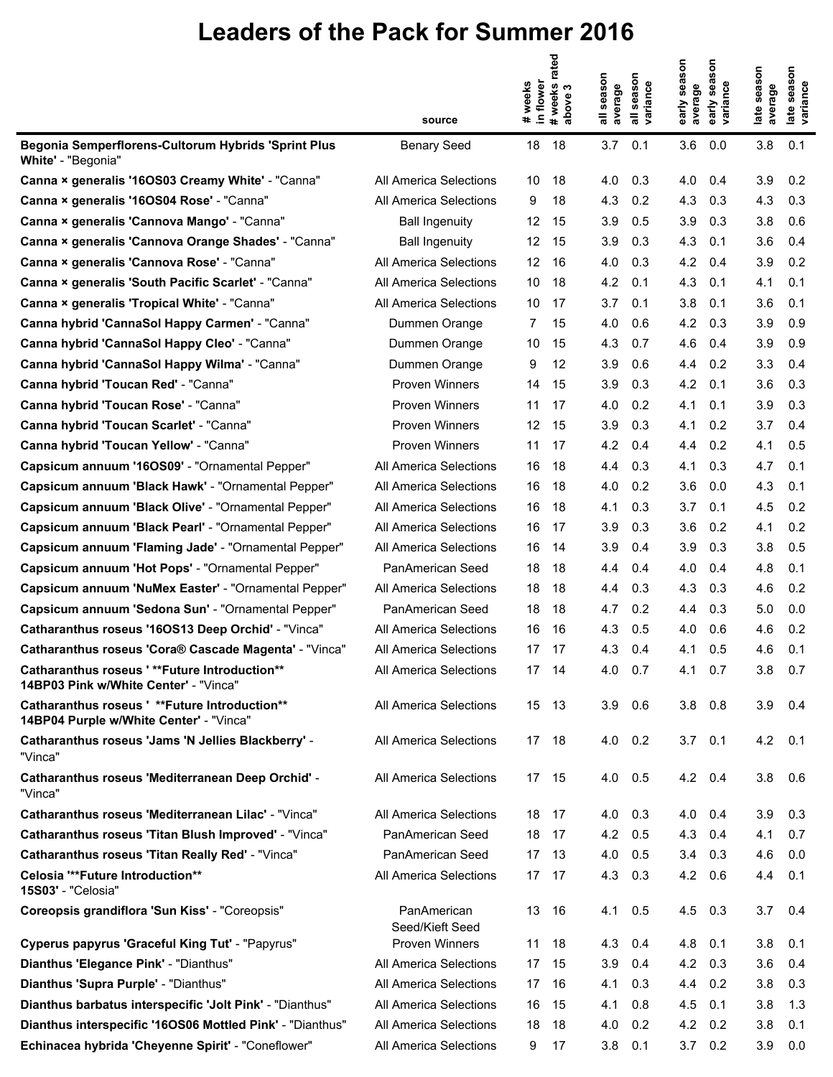|                                                                                           |                                | in flower<br># weeks | #weeks rated<br>above 3 | season<br>average | season<br>variance | early season<br>average | ISON<br>sea<br>early sea<br>variance | late season<br>average | late season<br>variance |
|-------------------------------------------------------------------------------------------|--------------------------------|----------------------|-------------------------|-------------------|--------------------|-------------------------|--------------------------------------|------------------------|-------------------------|
|                                                                                           | source                         |                      |                         |                   |                    |                         |                                      |                        |                         |
| Begonia Semperflorens-Cultorum Hybrids 'Sprint Plus<br>White' - "Begonia"                 | <b>Benary Seed</b>             | 18                   | 18                      | 3.7               | 0.1                | 3.6                     | 0.0                                  | 3.8                    | 0.1                     |
| Canna × generalis '16OS03 Creamy White' - "Canna"                                         | All America Selections         | 10                   | 18                      | 4.0               | 0.3                | 4.0                     | 0.4                                  | 3.9                    | 0.2                     |
| Canna × generalis '16OS04 Rose' - "Canna"                                                 | All America Selections         | 9                    | 18                      | 4.3               | 0.2                | 4.3                     | 0.3                                  | 4.3                    | 0.3                     |
| Canna × generalis 'Cannova Mango' - "Canna"                                               | <b>Ball Ingenuity</b>          | 12                   | 15                      | 3.9               | 0.5                | 3.9                     | 0.3                                  | 3.8                    | 0.6                     |
| Canna × generalis 'Cannova Orange Shades' - "Canna"                                       | <b>Ball Ingenuity</b>          | 12                   | 15                      | 3.9               | 0.3                | 4.3                     | 0.1                                  | 3.6                    | 0.4                     |
| Canna × generalis 'Cannova Rose' - "Canna"                                                | All America Selections         | 12                   | 16                      | 4.0               | 0.3                | 4.2                     | 0.4                                  | 3.9                    | 0.2                     |
| Canna × generalis 'South Pacific Scarlet' - "Canna"                                       | All America Selections         | 10                   | 18                      | 4.2               | 0.1                | 4.3                     | 0.1                                  | 4.1                    | 0.1                     |
| Canna × generalis 'Tropical White' - "Canna"                                              | All America Selections         | 10                   | 17                      | 3.7               | 0.1                | 3.8                     | 0.1                                  | 3.6                    | 0.1                     |
| Canna hybrid 'CannaSol Happy Carmen' - "Canna"                                            | Dummen Orange                  | 7                    | 15                      | 4.0               | 0.6                | 4.2                     | 0.3                                  | 3.9                    | 0.9                     |
| Canna hybrid 'CannaSol Happy Cleo' - "Canna"                                              | Dummen Orange                  | 10                   | 15                      | 4.3               | 0.7                | 4.6                     | 0.4                                  | 3.9                    | 0.9                     |
| Canna hybrid 'CannaSol Happy Wilma' - "Canna"                                             | Dummen Orange                  | 9                    | 12                      | 3.9               | 0.6                | 4.4                     | 0.2                                  | 3.3                    | 0.4                     |
| Canna hybrid 'Toucan Red' - "Canna"                                                       | <b>Proven Winners</b>          | 14                   | 15                      | 3.9               | 0.3                | 4.2                     | 0.1                                  | 3.6                    | 0.3                     |
| Canna hybrid 'Toucan Rose' - "Canna"                                                      | Proven Winners                 | 11                   | 17                      | 4.0               | 0.2                | 4.1                     | 0.1                                  | 3.9                    | 0.3                     |
| Canna hybrid 'Toucan Scarlet' - "Canna"                                                   | <b>Proven Winners</b>          | 12                   | 15                      | 3.9               | 0.3                | 4.1                     | 0.2                                  | 3.7                    | 0.4                     |
| Canna hybrid 'Toucan Yellow' - "Canna"                                                    | <b>Proven Winners</b>          | 11                   | 17                      | 4.2               | 0.4                | 4.4                     | 0.2                                  | 4.1                    | 0.5                     |
| Capsicum annuum '16OS09' - "Ornamental Pepper"                                            | All America Selections         | 16                   | 18                      | 4.4               | 0.3                | 4.1                     | 0.3                                  | 4.7                    | 0.1                     |
| Capsicum annuum 'Black Hawk' - "Ornamental Pepper"                                        | All America Selections         | 16                   | 18                      | 4.0               | 0.2                | 3.6                     | 0.0                                  | 4.3                    | 0.1                     |
| Capsicum annuum 'Black Olive' - "Ornamental Pepper"                                       | All America Selections         | 16                   | 18                      | 4.1               | 0.3                | 3.7                     | 0.1                                  | 4.5                    | 0.2                     |
| Capsicum annuum 'Black Pearl' - "Ornamental Pepper"                                       | All America Selections         | 16                   | 17                      | 3.9               | 0.3                | 3.6                     | 0.2                                  | 4.1                    | 0.2                     |
| Capsicum annuum 'Flaming Jade' - "Ornamental Pepper"                                      | All America Selections         | 16                   | 14                      | 3.9               | 0.4                | 3.9                     | 0.3                                  | 3.8                    | 0.5                     |
| Capsicum annuum 'Hot Pops' - "Ornamental Pepper"                                          | PanAmerican Seed               | 18                   | 18                      | 4.4               | 0.4                | 4.0                     | 0.4                                  | 4.8                    | 0.1                     |
| Capsicum annuum 'NuMex Easter' - "Ornamental Pepper"                                      | All America Selections         | 18                   | 18                      | 4.4               | 0.3                | 4.3                     | 0.3                                  | 4.6                    | 0.2                     |
| Capsicum annuum 'Sedona Sun' - "Ornamental Pepper"                                        | PanAmerican Seed               | 18                   | 18                      | 4.7               | 0.2                | 4.4                     | 0.3                                  | 5.0                    | 0.0                     |
| Catharanthus roseus '160S13 Deep Orchid' - "Vinca"                                        | All America Selections         | 16                   | 16                      | 4.3               | 0.5                | 4.0                     | 0.6                                  | 4.6                    | 0.2                     |
| Catharanthus roseus 'Cora® Cascade Magenta' - "Vinca"                                     | All America Selections         | 17                   | 17                      | 4.3               | 0.4                | 4.1                     | 0.5                                  | 4.6                    | 0.1                     |
| Catharanthus roseus ' ** Future Introduction **<br>14BP03 Pink w/White Center' - "Vinca"  | All America Selections         |                      | 17 14                   | 4.0 0.7           |                    | 4.1 0.7                 |                                      | 3.8                    | 0.7                     |
| Catharanthus roseus ' ** Future Introduction**<br>14BP04 Purple w/White Center' - "Vinca" | All America Selections         | 15 13                |                         | 3.9               | 0.6                | 3.8                     | 0.8                                  | 3.9                    | 0.4                     |
| Catharanthus roseus 'Jams 'N Jellies Blackberry' -<br>"Vinca"                             | All America Selections         | 17                   | 18                      | 4.0               | 0.2                | $3.7\quad 0.1$          |                                      | 4.2                    | 0.1                     |
| Catharanthus roseus 'Mediterranean Deep Orchid' -<br>"Vinca"                              | All America Selections         | 17 15                |                         | 4.0               | 0.5                | $4.2 \quad 0.4$         |                                      | 3.8                    | 0.6                     |
| Catharanthus roseus 'Mediterranean Lilac' - "Vinca"                                       | All America Selections         | 18                   | -17                     | 4.0               | 0.3                | $4.0 \quad 0.4$         |                                      | 3.9                    | 0.3                     |
| Catharanthus roseus 'Titan Blush Improved' - "Vinca"                                      | PanAmerican Seed               | 18                   | 17                      | 4.2               | 0.5                | 4.3                     | 0.4                                  | 4.1                    | 0.7                     |
| Catharanthus roseus 'Titan Really Red' - "Vinca"                                          | PanAmerican Seed               | 17                   | 13                      | 4.0               | 0.5                | 3.4                     | 0.3                                  | 4.6                    | 0.0                     |
| Celosia "**Future Introduction**<br>15S03' - "Celosia"                                    | All America Selections         | 17 <sup>2</sup>      | 17                      | 4.3               | 0.3                | 4.2                     | 0.6                                  | 4.4                    | 0.1                     |
| Coreopsis grandiflora 'Sun Kiss' - "Coreopsis"                                            | PanAmerican<br>Seed/Kieft Seed | 13                   | 16                      | 4.1               | 0.5                | 4.5                     | 0.3                                  | 3.7                    | 0.4                     |
| Cyperus papyrus 'Graceful King Tut' - "Papyrus"                                           | Proven Winners                 | 11                   | 18                      | 4.3               | 0.4                | 4.8                     | 0.1                                  | 3.8                    | 0.1                     |
| Dianthus 'Elegance Pink' - "Dianthus"                                                     | All America Selections         | 17                   | 15                      | 3.9               | 0.4                | 4.2                     | 0.3                                  | 3.6                    | 0.4                     |
| Dianthus 'Supra Purple' - "Dianthus"                                                      | All America Selections         | 17                   | 16                      | 4.1               | 0.3                | 4.4                     | 0.2                                  | 3.8                    | 0.3                     |
| Dianthus barbatus interspecific 'Jolt Pink' - "Dianthus"                                  | All America Selections         | 16                   | 15                      | 4.1               | 0.8                | 4.5                     | 0.1                                  | 3.8                    | 1.3                     |
| Dianthus interspecific '16OS06 Mottled Pink' - "Dianthus"                                 | All America Selections         | 18                   | 18                      | 4.0               | 0.2                | 4.2                     | 0.2                                  | 3.8                    | 0.1                     |
| Echinacea hybrida 'Cheyenne Spirit' - "Coneflower"                                        | All America Selections         | 9                    | 17                      | 3.8               | 0.1                | $3.7\quad 0.2$          |                                      | 3.9                    | 0.0                     |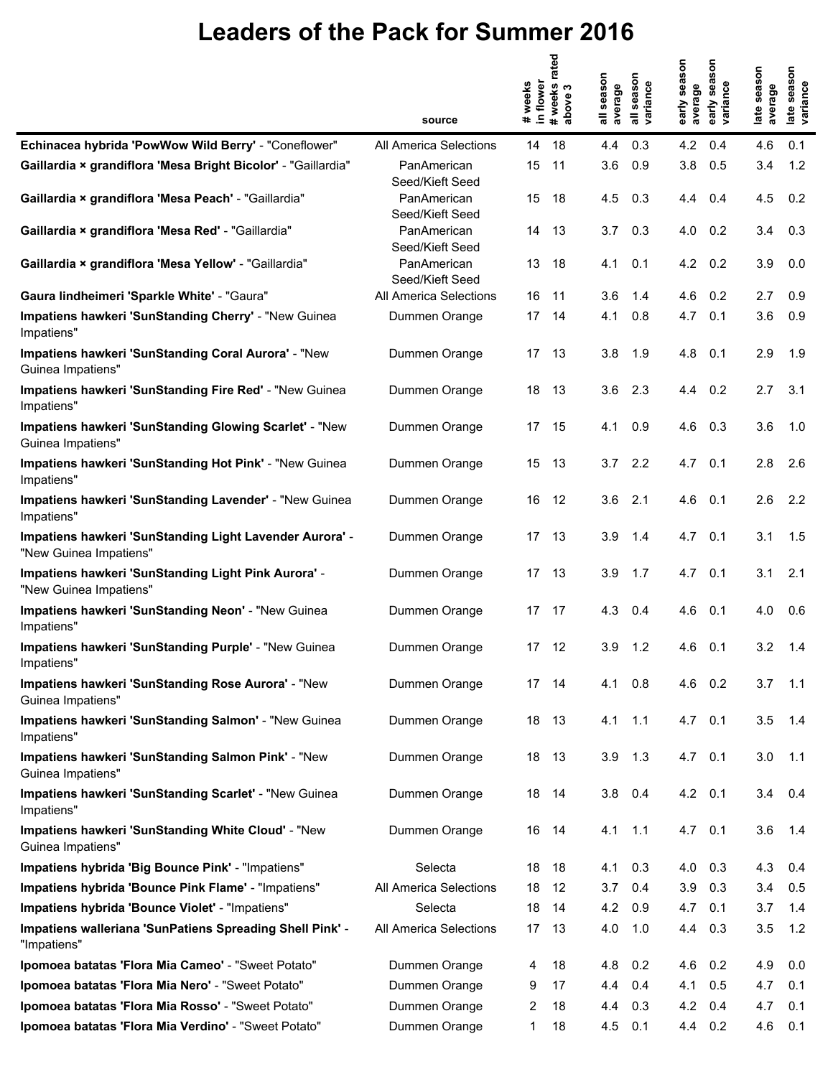|                                                                                   |                                | weeks<br>in flower | rated<br>#weeks i<br>above 3 | season<br>average | season<br>variance        | early season<br>average | son<br>sea<br>variance<br>early | late season<br>average | late season<br>variance |
|-----------------------------------------------------------------------------------|--------------------------------|--------------------|------------------------------|-------------------|---------------------------|-------------------------|---------------------------------|------------------------|-------------------------|
|                                                                                   | source                         | $\pmb{\ast}$       |                              | 듷                 | $\overline{\overline{a}}$ |                         |                                 |                        |                         |
| Echinacea hybrida 'PowWow Wild Berry' - "Coneflower"                              | All America Selections         | 14                 | 18                           | 4.4               | 0.3                       | 4.2                     | 0.4                             | 4.6                    | 0.1                     |
| Gaillardia × grandiflora 'Mesa Bright Bicolor' - "Gaillardia"                     | PanAmerican<br>Seed/Kieft Seed | 15                 | 11                           | 3.6               | 0.9                       | 3.8                     | 0.5                             | 3.4                    | 1.2                     |
| Gaillardia × grandiflora 'Mesa Peach' - "Gaillardia"                              | PanAmerican<br>Seed/Kieft Seed | 15                 | 18                           | 4.5               | 0.3                       | 4.4                     | 0.4                             | 4.5                    | 0.2                     |
| Gaillardia × grandiflora 'Mesa Red' - "Gaillardia"                                | PanAmerican<br>Seed/Kieft Seed | 14                 | 13                           | 3.7               | 0.3                       | 4.0                     | 0.2                             | 3.4                    | 0.3                     |
| Gaillardia × grandiflora 'Mesa Yellow' - "Gaillardia"                             | PanAmerican<br>Seed/Kieft Seed | 13                 | 18                           | 4.1               | 0.1                       | 4.2                     | 0.2                             | 3.9                    | 0.0                     |
| Gaura lindheimeri 'Sparkle White' - "Gaura"                                       | All America Selections         | 16                 | 11                           | 3.6               | 1.4                       | 4.6                     | 0.2                             | 2.7                    | 0.9                     |
| Impatiens hawkeri 'SunStanding Cherry' - "New Guinea<br>Impatiens"                | Dummen Orange                  | 17                 | 14                           | 4.1               | 0.8                       | 4.7                     | 0.1                             | 3.6                    | 0.9                     |
| Impatiens hawkeri 'SunStanding Coral Aurora' - "New<br>Guinea Impatiens"          | Dummen Orange                  | 17                 | 13                           | 3.8               | 1.9                       | 4.8                     | 0.1                             | 2.9                    | 1.9                     |
| Impatiens hawkeri 'SunStanding Fire Red' - "New Guinea<br>Impatiens"              | Dummen Orange                  | 18                 | 13                           | 3.6               | 2.3                       | 4.4                     | 0.2                             | 2.7                    | 3.1                     |
| Impatiens hawkeri 'SunStanding Glowing Scarlet' - "New<br>Guinea Impatiens"       | Dummen Orange                  | 17                 | 15                           | 4.1               | 0.9                       | 4.6                     | 0.3                             | 3.6                    | 1.0                     |
| Impatiens hawkeri 'SunStanding Hot Pink' - "New Guinea<br>Impatiens"              | Dummen Orange                  | 15                 | 13                           | 3.7               | 2.2                       | 4.7                     | 0.1                             | 2.8                    | 2.6                     |
| Impatiens hawkeri 'SunStanding Lavender' - "New Guinea<br>Impatiens"              | Dummen Orange                  | 16                 | 12                           | 3.6               | 2.1                       | 4.6                     | 0.1                             | 2.6                    | 2.2                     |
| Impatiens hawkeri 'SunStanding Light Lavender Aurora' -<br>"New Guinea Impatiens" | Dummen Orange                  | 17                 | 13                           | 3.9               | 1.4                       | 4.7                     | 0.1                             | 3.1                    | 1.5                     |
| Impatiens hawkeri 'SunStanding Light Pink Aurora' -<br>"New Guinea Impatiens"     | Dummen Orange                  | 17 <sup>2</sup>    | 13                           | 3.9               | 1.7                       | 4.7                     | 0.1                             | 3.1                    | 2.1                     |
| Impatiens hawkeri 'SunStanding Neon' - "New Guinea<br>Impatiens"                  | Dummen Orange                  | 17                 | 17                           | 4.3               | 0.4                       | 4.6                     | 0.1                             | 4.0                    | 0.6                     |
| Impatiens hawkeri 'SunStanding Purple' - "New Guinea<br>Impatiens"                | Dummen Orange                  | 17                 | 12                           | 3.9               | 1.2                       | 4.6                     | 0.1                             | 3.2                    | 1.4                     |
| Impatiens hawkeri 'SunStanding Rose Aurora' - "New<br>Guinea Impatiens"           | Dummen Orange                  |                    | 17 14                        | 4.1               | 0.8                       | $4.6$ 0.2               |                                 | 3.7                    | 1.1                     |
| Impatiens hawkeri 'SunStanding Salmon' - "New Guinea<br>Impatiens"                | Dummen Orange                  |                    | 18 13                        | 4.1               | 1.1                       | $4.7$ 0.1               |                                 | 3.5                    | 1.4                     |
| Impatiens hawkeri 'SunStanding Salmon Pink' - "New<br>Guinea Impatiens"           | Dummen Orange                  | 18                 | 13                           | 3.9               | 1.3                       | $4.7$ 0.1               |                                 | 3.0                    | 1.1                     |
| Impatiens hawkeri 'SunStanding Scarlet' - "New Guinea<br>Impatiens"               | Dummen Orange                  | 18 14              |                              | 3.8               | 0.4                       | $4.2 \quad 0.1$         |                                 | 3.4                    | 0.4                     |
| Impatiens hawkeri 'SunStanding White Cloud' - "New<br>Guinea Impatiens"           | Dummen Orange                  | 16                 | 14                           | 4.1               | 1.1                       | $4.7$ 0.1               |                                 | 3.6                    | 1.4                     |
| Impatiens hybrida 'Big Bounce Pink' - "Impatiens"                                 | Selecta                        | 18                 | 18                           | 4.1               | 0.3                       | 4.0                     | 0.3                             | 4.3                    | 0.4                     |
| Impatiens hybrida 'Bounce Pink Flame' - "Impatiens"                               | All America Selections         | 18                 | 12                           | 3.7               | 0.4                       | 3.9                     | 0.3                             | 3.4                    | 0.5                     |
| Impatiens hybrida 'Bounce Violet' - "Impatiens"                                   | Selecta                        | 18                 | 14                           | 4.2               | 0.9                       | 4.7                     | 0.1                             | 3.7                    | 1.4                     |
| Impatiens walleriana 'SunPatiens Spreading Shell Pink' -<br>"Impatiens"           | All America Selections         | 17                 | 13                           | 4.0               | 1.0                       | 4.4                     | 0.3                             | 3.5                    | 1.2                     |
| Ipomoea batatas 'Flora Mia Cameo' - "Sweet Potato"                                | Dummen Orange                  | 4                  | 18                           | 4.8               | 0.2                       | 4.6                     | 0.2                             | 4.9                    | 0.0                     |
| Ipomoea batatas 'Flora Mia Nero' - "Sweet Potato"                                 | Dummen Orange                  | 9                  | 17                           | 4.4               | 0.4                       | 4.1                     | 0.5                             | 4.7                    | 0.1                     |
| Ipomoea batatas 'Flora Mia Rosso' - "Sweet Potato"                                | Dummen Orange                  | 2                  | 18                           | 4.4               | 0.3                       | 4.2                     | 0.4                             | 4.7                    | 0.1                     |
| Ipomoea batatas 'Flora Mia Verdino' - "Sweet Potato"                              | Dummen Orange                  | 1                  | 18                           | 4.5               | 0.1                       | 4.4                     | 0.2                             | 4.6                    | 0.1                     |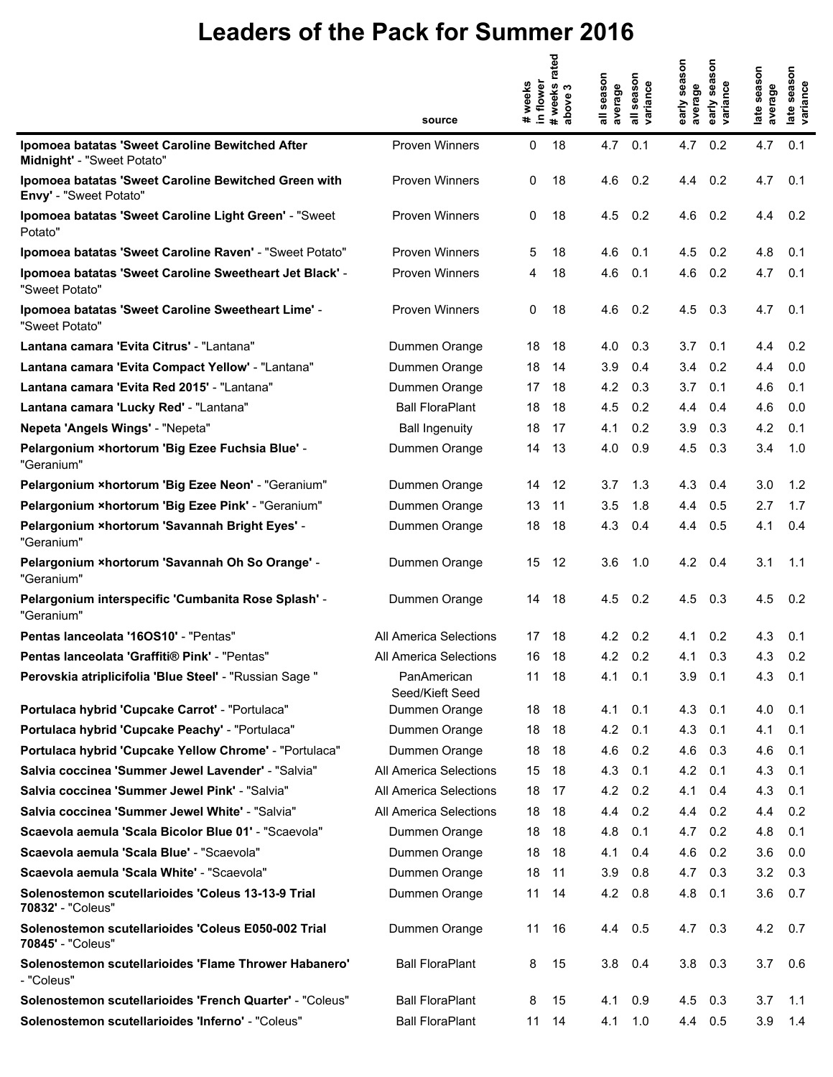|                                                                                | source                         | # weeks<br>in flower | #weeks rated<br>က<br>above | season<br>average<br>듷 | season<br>variance | early season<br>average | son<br>sea<br>early sea:<br>variance | late season<br>average | late season<br>variance |
|--------------------------------------------------------------------------------|--------------------------------|----------------------|----------------------------|------------------------|--------------------|-------------------------|--------------------------------------|------------------------|-------------------------|
| Ipomoea batatas 'Sweet Caroline Bewitched After<br>Midnight' - "Sweet Potato"  | <b>Proven Winners</b>          | 0                    | 18                         | 4.7                    | 0.1                | 4.7                     | 0.2                                  | 4.7                    | 0.1                     |
| Ipomoea batatas 'Sweet Caroline Bewitched Green with<br>Envy' - "Sweet Potato" | <b>Proven Winners</b>          | 0                    | 18                         | 4.6                    | 0.2                | 4.4                     | 0.2                                  | 4.7                    | 0.1                     |
| Ipomoea batatas 'Sweet Caroline Light Green' - "Sweet<br>Potato"               | Proven Winners                 | 0                    | 18                         | 4.5                    | 0.2                | 4.6                     | 0.2                                  | 4.4                    | 0.2                     |
| Ipomoea batatas 'Sweet Caroline Raven' - "Sweet Potato"                        | <b>Proven Winners</b>          | 5                    | 18                         | 4.6                    | 0.1                | 4.5                     | 0.2                                  | 4.8                    | 0.1                     |
| Ipomoea batatas 'Sweet Caroline Sweetheart Jet Black' -<br>"Sweet Potato"      | <b>Proven Winners</b>          | 4                    | 18                         | 4.6                    | 0.1                | 4.6                     | 0.2                                  | 4.7                    | 0.1                     |
| Ipomoea batatas 'Sweet Caroline Sweetheart Lime' -<br>"Sweet Potato"           | Proven Winners                 | 0                    | 18                         | 4.6                    | 0.2                | 4.5                     | 0.3                                  | 4.7                    | 0.1                     |
| Lantana camara 'Evita Citrus' - "Lantana"                                      | Dummen Orange                  | 18                   | 18                         | 4.0                    | 0.3                | 3.7                     | 0.1                                  | 4.4                    | 0.2                     |
| Lantana camara 'Evita Compact Yellow' - "Lantana"                              | Dummen Orange                  | 18                   | 14                         | 3.9                    | 0.4                | 3.4                     | 0.2                                  | 4.4                    | 0.0                     |
| Lantana camara 'Evita Red 2015' - "Lantana"                                    | Dummen Orange                  | 17                   | 18                         | 4.2                    | 0.3                | 3.7                     | 0.1                                  | 4.6                    | 0.1                     |
| Lantana camara 'Lucky Red' - "Lantana"                                         | <b>Ball FloraPlant</b>         | 18                   | 18                         | 4.5                    | 0.2                | 4.4                     | 0.4                                  | 4.6                    | 0.0                     |
| Nepeta 'Angels Wings' - "Nepeta"                                               | <b>Ball Ingenuity</b>          | 18                   | 17                         | 4.1                    | 0.2                | 3.9                     | 0.3                                  | 4.2                    | 0.1                     |
| Pelargonium ×hortorum 'Big Ezee Fuchsia Blue' -<br>"Geranium"                  | Dummen Orange                  | 14                   | 13                         | 4.0                    | 0.9                | 4.5                     | 0.3                                  | 3.4                    | 1.0                     |
| Pelargonium ×hortorum 'Big Ezee Neon' - "Geranium"                             | Dummen Orange                  | 14                   | 12                         | 3.7                    | 1.3                | 4.3                     | 0.4                                  | 3.0                    | 1.2                     |
| Pelargonium ×hortorum 'Big Ezee Pink' - "Geranium"                             | Dummen Orange                  | 13                   | 11                         | 3.5                    | 1.8                | 4.4                     | 0.5                                  | 2.7                    | 1.7                     |
| Pelargonium ×hortorum 'Savannah Bright Eyes' -<br>"Geranium"                   | Dummen Orange                  | 18                   | 18                         | 4.3                    | 0.4                | 4.4                     | 0.5                                  | 4.1                    | 0.4                     |
| Pelargonium × hortorum 'Savannah Oh So Orange' -<br>"Geranium"                 | Dummen Orange                  | 15                   | 12                         | 3.6                    | 1.0                | 4.2                     | 0.4                                  | 3.1                    | 1.1                     |
| Pelargonium interspecific 'Cumbanita Rose Splash' -<br>"Geranium"              | Dummen Orange                  | 14                   | 18                         | 4.5                    | 0.2                | 4.5                     | 0.3                                  | 4.5                    | 0.2                     |
| Pentas lanceolata '160S10' - "Pentas"                                          | All America Selections         | 17                   | 18                         | 4.2                    | 0.2                | 4.1                     | 0.2                                  | 4.3                    | 0.1                     |
| Pentas lanceolata 'Graffiti® Pink' - "Pentas"                                  | All America Selections         | 16                   | 18                         | 4.2                    | 0.2                | 4.1                     | 0.3                                  | 4.3                    | 0.2                     |
| Perovskia atriplicifolia 'Blue Steel' - "Russian Sage "                        | PanAmerican<br>Seed/Kieft Seed |                      | 11 18                      |                        | $4.1 \quad 0.1$    | 3.9                     | 0.1                                  | 4.3                    | 0.1                     |
| Portulaca hybrid 'Cupcake Carrot' - "Portulaca"                                | Dummen Orange                  | 18                   | 18                         |                        | $4.1 \quad 0.1$    | 4.3                     | 0.1                                  | 4.0                    | 0.1                     |
| Portulaca hybrid 'Cupcake Peachy' - "Portulaca"                                | Dummen Orange                  | 18                   | 18                         | 4.2                    | 0.1                | 4.3                     | 0.1                                  | 4.1                    | 0.1                     |
| Portulaca hybrid 'Cupcake Yellow Chrome' - "Portulaca"                         | Dummen Orange                  | 18                   | 18                         | 4.6                    | 0.2                | 4.6                     | 0.3                                  | 4.6                    | 0.1                     |
| Salvia coccinea 'Summer Jewel Lavender' - "Salvia"                             | All America Selections         | 15                   | 18                         | 4.3                    | 0.1                | 4.2                     | 0.1                                  | 4.3                    | 0.1                     |
| Salvia coccinea 'Summer Jewel Pink' - "Salvia"                                 | <b>All America Selections</b>  | 18                   | 17                         |                        | 4.2 0.2            | 4.1                     | 0.4                                  | 4.3                    | 0.1                     |
| Salvia coccinea 'Summer Jewel White' - "Salvia"                                | All America Selections         | 18                   | 18                         | 4.4                    | 0.2                | 4.4                     | 0.2                                  | 4.4                    | 0.2                     |
| Scaevola aemula 'Scala Bicolor Blue 01' - "Scaevola"                           | Dummen Orange                  | 18                   | 18                         | 4.8                    | 0.1                | 4.7                     | 0.2                                  | 4.8                    | 0.1                     |
| Scaevola aemula 'Scala Blue' - "Scaevola"                                      | Dummen Orange                  | 18                   | 18                         | 4.1                    | 0.4                | 4.6                     | 0.2                                  | 3.6                    | 0.0                     |
| Scaevola aemula 'Scala White' - "Scaevola"                                     | Dummen Orange                  | 18                   | 11                         | 3.9                    | 0.8                |                         | 4.7 0.3                              | 3.2                    | 0.3                     |
| Solenostemon scutellarioides 'Coleus 13-13-9 Trial<br>70832' - "Coleus"        | Dummen Orange                  | 11                   | 14                         | 4.2                    | 0.8                | 4.8                     | 0.1                                  | 3.6                    | 0.7                     |
| Solenostemon scutellarioides 'Coleus E050-002 Trial<br>70845' - "Coleus"       | Dummen Orange                  | 11                   | 16                         |                        | 4.4 0.5            | 4.7                     | 0.3                                  | 4.2                    | 0.7                     |
| Solenostemon scutellarioides 'Flame Thrower Habanero'<br>- "Coleus"            | <b>Ball FloraPlant</b>         | 8                    | 15                         | 3.8                    | 0.4                |                         | $3.8$ 0.3                            | 3.7                    | 0.6                     |
| Solenostemon scutellarioides 'French Quarter' - "Coleus"                       | <b>Ball FloraPlant</b>         | 8                    | 15                         | 4.1                    | 0.9                | 4.5                     | 0.3                                  | 3.7                    | 1.1                     |
| Solenostemon scutellarioides 'Inferno' - "Coleus"                              | <b>Ball FloraPlant</b>         |                      | 11 14                      |                        | 4.1 1.0            |                         | 4.4 0.5                              | 3.9                    | 1.4                     |